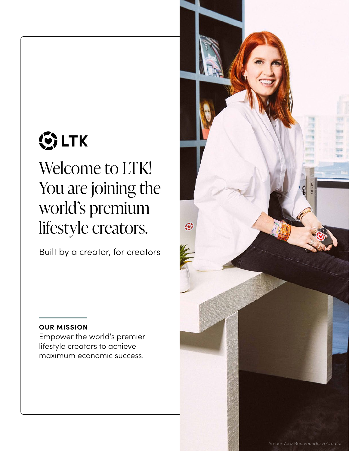# **③LTK**

Welcome to LTK! You are joining the world's premium lifestyle creators.

Built by a creator, for creators

### **OUR MISSION**

Empower the world's premier lifestyle creators to achieve maximum economic success.

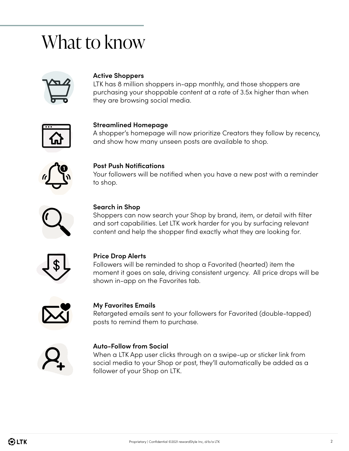### What to know



#### **Active Shoppers**

LTK has 8 million shoppers in-app monthly, and those shoppers are purchasing your shoppable content at a rate of 3.5x higher than when they are browsing social media.



#### **Streamlined Homepage**

A shopper's homepage will now prioritize Creators they follow by recency, and show how many unseen posts are available to shop.



#### **Post Push Notifications**

Your followers will be notified when you have a new post with a reminder to shop.



#### **Search in Shop**

Shoppers can now search your Shop by brand, item, or detail with filter and sort capabilities. Let LTK work harder for you by surfacing relevant content and help the shopper find exactly what they are looking for.



#### **Price Drop Alerts**

Followers will be reminded to shop a Favorited (hearted) item the moment it goes on sale, driving consistent urgency. All price drops will be shown in-app on the Favorites tab.



#### **My Favorites Emails**

Retargeted emails sent to your followers for Favorited (double-tapped) posts to remind them to purchase.



#### **Auto-Follow from Social**

When a LTK App user clicks through on a swipe-up or sticker link from social media to your Shop or post, they'll automatically be added as a follower of your Shop on LTK.